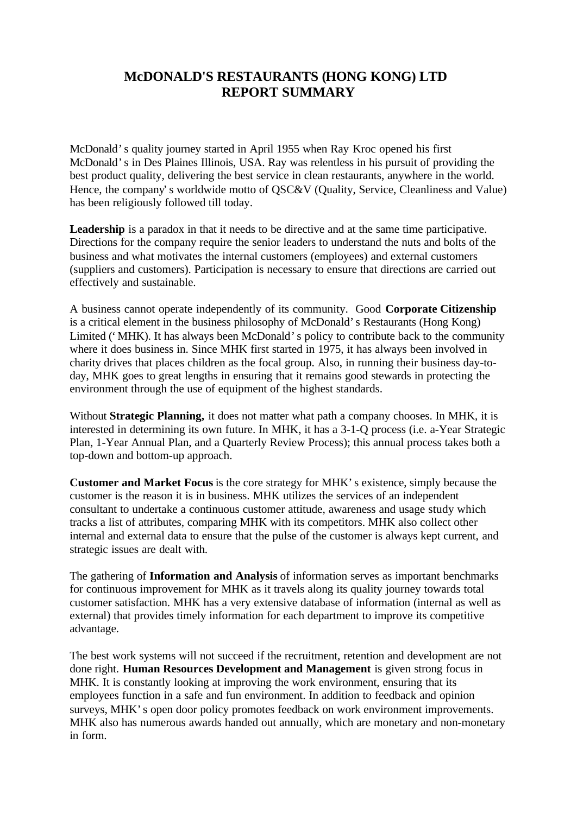## **McDONALD'S RESTAURANTS (HONG KONG) LTD REPORT SUMMARY**

McDonald's quality journey started in April 1955 when Ray Kroc opened his first McDonald's in Des Plaines Illinois, USA. Ray was relentless in his pursuit of providing the best product quality, delivering the best service in clean restaurants, anywhere in the world. Hence, the company's worldwide motto of QSC&V (Quality, Service, Cleanliness and Value) has been religiously followed till today.

Leadership is a paradox in that it needs to be directive and at the same time participative. Directions for the company require the senior leaders to understand the nuts and bolts of the business and what motivates the internal customers (employees) and external customers (suppliers and customers). Participation is necessary to ensure that directions are carried out effectively and sustainable.

A business cannot operate independently of its community. Good **Corporate Citizenship** is a critical element in the business philosophy of McDonald's Restaurants (Hong Kong) Limited ('MHK). It has always been McDonald's policy to contribute back to the community where it does business in. Since MHK first started in 1975, it has always been involved in charity drives that places children as the focal group. Also, in running their business day-today, MHK goes to great lengths in ensuring that it remains good stewards in protecting the environment through the use of equipment of the highest standards.

Without **Strategic Planning,** it does not matter what path a company chooses. In MHK, it is interested in determining its own future. In MHK, it has a 3-1-Q process (i.e. a-Year Strategic Plan, 1-Year Annual Plan, and a Quarterly Review Process); this annual process takes both a top-down and bottom-up approach.

**Customer and Market Focus** is the core strategy for MHK's existence, simply because the customer is the reason it is in business. MHK utilizes the services of an independent consultant to undertake a continuous customer attitude, awareness and usage study which tracks a list of attributes, comparing MHK with its competitors. MHK also collect other internal and external data to ensure that the pulse of the customer is always kept current, and strategic issues are dealt with.

The gathering of **Information and Analysis** of information serves as important benchmarks for continuous improvement for MHK as it travels along its quality journey towards total customer satisfaction. MHK has a very extensive database of information (internal as well as external) that provides timely information for each department to improve its competitive advantage.

The best work systems will not succeed if the recruitment, retention and development are not done right. **Human Resources Development and Management** is given strong focus in MHK. It is constantly looking at improving the work environment, ensuring that its employees function in a safe and fun environment. In addition to feedback and opinion surveys, MHK's open door policy promotes feedback on work environment improvements. MHK also has numerous awards handed out annually, which are monetary and non-monetary in form.